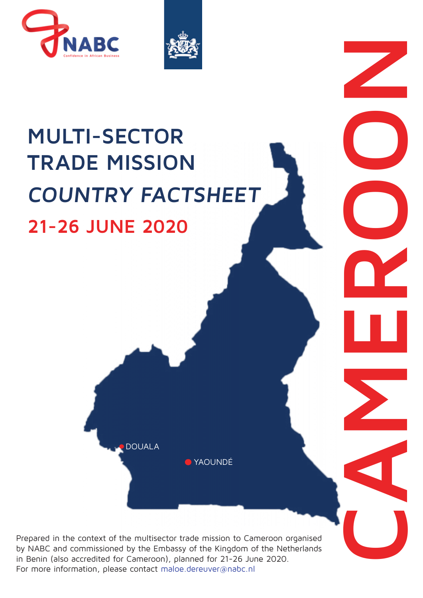



### **MULTI-SECTOR TRADE MISSION COUNTRY FACTSHEET 21-2 0\$5&+ 202**

YAOUNDÉ

**CAMEROON** 

Prepared in the context of the multisector trade mission to Cameroon organised by NABC and commissioned by the Embassy of the Kingdom of the Netherlands in Benin (also accredited for Cameroon), planned for 21-25 March 2020. For more information, please contact myrthe.vdgaast@nabc.nl

DOUALA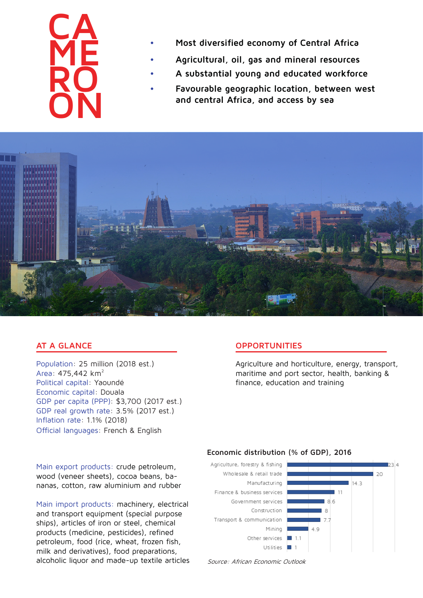## **CA ME RO ON**

- **• Most diversified economy of Central Africa**
- **• Agricultural, oil, gas and mineral resources**
- **• A substantial young and educated workforce**
- **• Favourable geographic location, between west and central Africa, and access by sea**



#### **AT A GLANCE**

Population: 25 million (2018 est.) Area: 475,442 km² Political capital: Yaoundé Economic capital: Douala GDP per capita (PPP): \$3,700 (2017 est.) GDP real growth rate: 3.5% (2017 est.) Inflation rate: 1.1% (2018) Official languages: French & English

#### **OPPORTUNITIES**

Agriculture and horticulture, energy, transport, maritime and port sector, health, banking & finance, education and training

Main export products: crude petroleum, wood (veneer sheets), cocoa beans, bananas, cotton, raw aluminium and rubber

Main import products: machinery, electrical and transport equipment (special purpose ships), articles of iron or steel, chemical products (medicine, pesticides), refined petroleum, food (rice, wheat, frozen fish, milk and derivatives), food preparations, alcoholic liquor and made-up textile articles Source: African Economic Outlook

#### **Economic distribution (% of GDP), 2016**

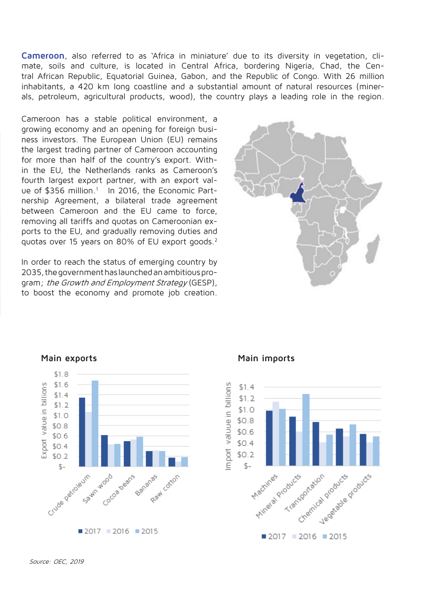**Cameroon**, also referred to as 'Africa in miniature' due to its diversity in vegetation, climate, soils and culture, is located in Central Africa, bordering Nigeria, Chad, the Central African Republic, Equatorial Guinea, Gabon, and the Republic of Congo. With 26 million inhabitants, a 420 km long coastline and a substantial amount of natural resources (minerals, petroleum, agricultural products, wood), the country plays a leading role in the region.

Cameroon has a stable political environment, a growing economy and an opening for foreign business investors. The European Union (EU) remains the largest trading partner of Cameroon accounting for more than half of the country's export. Within the EU, the Netherlands ranks as Cameroon's fourth largest export partner, with an export value of \$356 million.<sup>1</sup> In 2016, the Economic Partnership Agreement, a bilateral trade agreement between Cameroon and the EU came to force, removing all tariffs and quotas on Cameroonian exports to the EU, and gradually removing duties and quotas over 15 years on 80% of EU export goods.2

In order to reach the status of emerging country by 2035, the government has launched an ambitious program; the Growth and Employment Strategy (GESP), to boost the economy and promote job creation.





#### **Main exports Main imports**

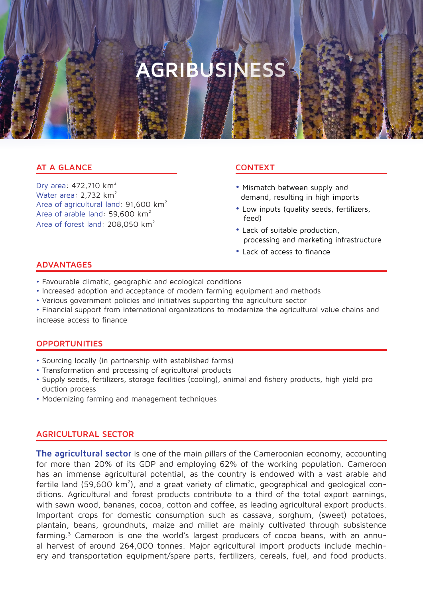### **AGRIBUSINESS**

#### **AT A GLANCE**

Dry area: 472,710 km² Water area: 2,732 km<sup>2</sup> Area of agricultural land: 91,600 km² Area of arable land: 59,600 km² Area of forest land: 208,050 km²

#### **CONTEXT**

- Mismatch between supply and demand, resulting in high imports
- Low inputs (quality seeds, fertilizers, feed)
- Lack of suitable production, processing and marketing infrastructure
- Lack of access to finance

#### **ADVANTAGES**

- Favourable climatic, geographic and ecological conditions
- Increased adoption and acceptance of modern farming equipment and methods
- Various government policies and initiatives supporting the agriculture sector

• Financial support from international organizations to modernize the agricultural value chains and increase access to finance

#### **OPPORTUNITIES**

- Sourcing locally (in partnership with established farms)
- Transformation and processing of agricultural products
- Supply seeds, fertilizers, storage facilities (cooling), animal and fishery products, high yield pro duction process
- Modernizing farming and management techniques

#### **AGRICULTURAL SECTOR**

**The agricultural sector** is one of the main pillars of the Cameroonian economy, accounting for more than 20% of its GDP and employing 62% of the working population. Cameroon has an immense agricultural potential, as the country is endowed with a vast arable and fertile land (59,600 km<sup>2</sup>), and a great variety of climatic, geographical and geological conditions. Agricultural and forest products contribute to a third of the total export earnings, with sawn wood, bananas, cocoa, cotton and coffee, as leading agricultural export products. Important crops for domestic consumption such as cassava, sorghum, (sweet) potatoes, plantain, beans, groundnuts, maize and millet are mainly cultivated through subsistence farming.3 Cameroon is one the world's largest producers of cocoa beans, with an annual harvest of around 264,000 tonnes. Major agricultural import products include machinery and transportation equipment/spare parts, fertilizers, cereals, fuel, and food products.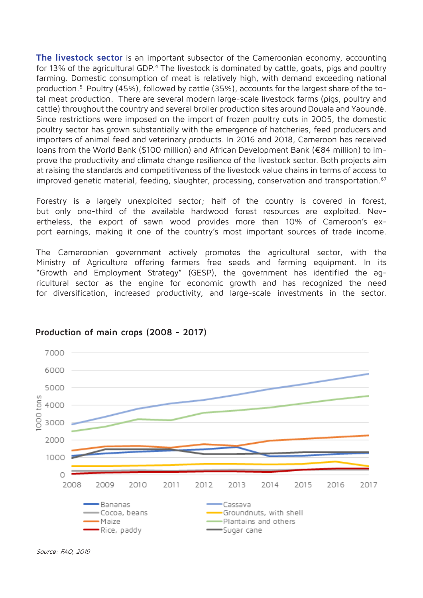**The livestock sector** is an important subsector of the Cameroonian economy, accounting for 13% of the agricultural GDP.<sup>4</sup> The livestock is dominated by cattle, goats, pigs and poultry farming. Domestic consumption of meat is relatively high, with demand exceeding national production.<sup>5</sup> Poultry (45%), followed by cattle (35%), accounts for the largest share of the total meat production. There are several modern large-scale livestock farms (pigs, poultry and cattle) throughout the country and several broiler production sites around Douala and Yaoundé. Since restrictions were imposed on the import of frozen poultry cuts in 2005, the domestic poultry sector has grown substantially with the emergence of hatcheries, feed producers and importers of animal feed and veterinary products. In 2016 and 2018, Cameroon has received loans from the World Bank (\$100 million) and African Development Bank (€84 million) to improve the productivity and climate change resilience of the livestock sector. Both projects aim at raising the standards and competitiveness of the livestock value chains in terms of access to improved genetic material, feeding, slaughter, processing, conservation and transportation.<sup>67</sup>

Forestry is a largely unexploited sector; half of the country is covered in forest, but only one-third of the available hardwood forest resources are exploited. Nevertheless, the export of sawn wood provides more than 10% of Cameroon's export earnings, making it one of the country's most important sources of trade income.

The Cameroonian government actively promotes the agricultural sector, with the Ministry of Agriculture offering farmers free seeds and farming equipment. In its "Growth and Employment Strategy" (GESP), the government has identified the agricultural sector as the engine for economic growth and has recognized the need for diversification, increased productivity, and large-scale investments in the sector.



#### **Production of main crops (2008 - 2017)**

Source: FAO, 2019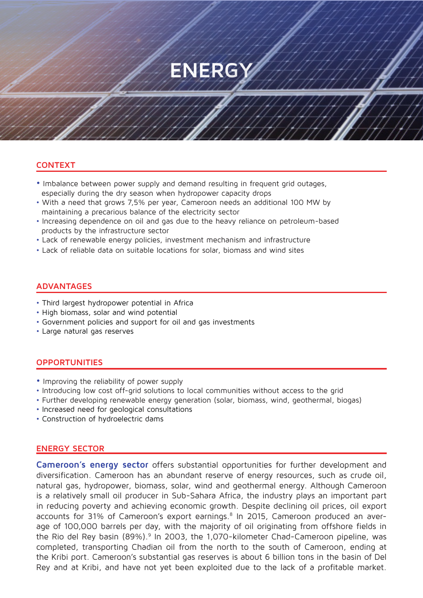### **ENERGY**

#### **CONTEXT**

- Imbalance between power supply and demand resulting in frequent grid outages, especially during the dry season when hydropower capacity drops
- With a need that grows 7,5% per year, Cameroon needs an additional 100 MW by maintaining a precarious balance of the electricity sector
- Increasing dependence on oil and gas due to the heavy reliance on petroleum-based products by the infrastructure sector
- Lack of renewable energy policies, investment mechanism and infrastructure
- Lack of reliable data on suitable locations for solar, biomass and wind sites

#### **ADVANTAGES**

- Third largest hydropower potential in Africa
- High biomass, solar and wind potential
- Government policies and support for oil and gas investments
- Large natural gas reserves

#### **OPPORTUNITIES**

- Improving the reliability of power supply
- Introducing low cost off-grid solutions to local communities without access to the grid
- Further developing renewable energy generation (solar, biomass, wind, geothermal, biogas)
- Increased need for geological consultations
- Construction of hydroelectric dams

#### **ENERGY SECTOR**

**Cameroon's energy sector** offers substantial opportunities for further development and diversification. Cameroon has an abundant reserve of energy resources, such as crude oil, natural gas, hydropower, biomass, solar, wind and geothermal energy. Although Cameroon is a relatively small oil producer in Sub-Sahara Africa, the industry plays an important part in reducing poverty and achieving economic growth. Despite declining oil prices, oil export accounts for 31% of Cameroon's export earnings.<sup>8</sup> In 2015, Cameroon produced an average of 100,000 barrels per day, with the majority of oil originating from offshore fields in the Rio del Rey basin (89%).<sup>9</sup> In 2003, the 1,070-kilometer Chad-Cameroon pipeline, was completed, transporting Chadian oil from the north to the south of Cameroon, ending at the Kribi port. Cameroon's substantial gas reserves is about 6 billion tons in the basin of Del Rey and at Kribi, and have not yet been exploited due to the lack of a profitable market.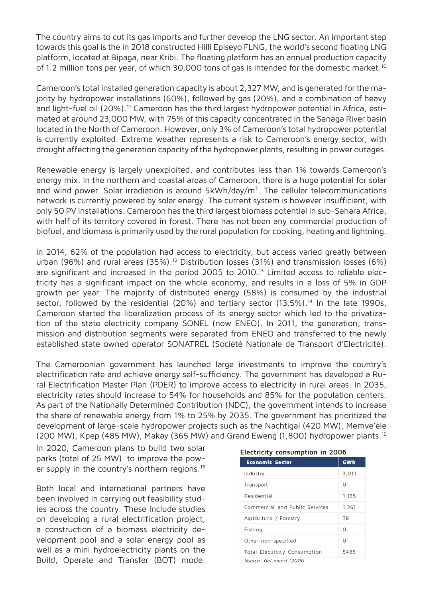The country aims to cut its gas imports and further develop the LNG sector. An important step towards this goal is the in 2018 constructed Hilli Episeyo FLNG, the world's second floating LNG platform, located at Bipaga, near Kribi. The floating platform has an annual production capacity of 1.2 million tons per year, of which 30,000 tons of gas is intended for the domestic market.<sup>10</sup>

Cameroon's total installed generation capacity is about 2,327 MW, and is generated for the majority by hydropower installations (60%), followed by gas (20%), and a combination of heavy and light-fuel oil (20%).<sup>11</sup> Cameroon has the third largest hydropower potential in Africa, estimated at around 23,000 MW, with 75% of this capacity concentrated in the Sanaga River basin located in the North of Cameroon. However, only 3% of Cameroon's total hydropower potential is currently exploited. Extreme weather represents a risk to Cameroon's energy sector, with drought affecting the generation capacity of the hydropower plants, resulting in power outages.

Renewable energy is largely unexploited, and contributes less than 1% towards Cameroon's energy mix. In the northern and coastal areas of Cameroon, there is a huge potential for solar and wind power. Solar irradiation is around  $5kWh/day/m<sup>2</sup>$ . The cellular telecommunications network is currently powered by solar energy. The current system is however insufficient, with only 50 PV installations. Cameroon has the third largest biomass potential in sub-Sahara Africa, with half of its territory covered in forest. There has not been any commercial production of biofuel, and biomass is primarily used by the rural population for cooking, heating and lightning.

In 2014, 62% of the population had access to electricity, but access varied greatly between urban (96%) and rural areas (35%).<sup>12</sup> Distribution losses (31%) and transmission losses (6%) are significant and increased in the period 2005 to 2010.<sup>13</sup> Limited access to reliable electricity has a significant impact on the whole economy, and results in a loss of 5% in GDP growth per year. The majority of distributed energy (58%) is consumed by the industrial sector, followed by the residential (20%) and tertiary sector (13.5%).<sup>14</sup> In the late 1990s, Cameroon started the liberalization process of its energy sector which led to the privatization of the state electricity company SONEL (now ENEO). In 2011, the generation, transmission and distribution segments were separated from ENEO and transferred to the newly established state owned operator SONATREL (Société Nationale de Transport d'Electricité).

The Cameroonian government has launched large investments to improve the country's electrification rate and achieve energy self-sufficiency. The government has developed a Rural Electrification Master Plan (PDER) to improve access to electricity in rural areas. In 2035, electricity rates should increase to 54% for households and 85% for the population centers. As part of the Nationally Determined Contribution (NDC), the government intends to increase the share of renewable energy from 1% to 25% by 2035. The government has prioritized the development of large-scale hydropower projects such as the Nachtigal (420 MW), Memve'éle (200 MW), Kpep (485 MW), Makay (365 MW) and Grand Eweng (1,800) hydropower plants.15

In 2020, Cameroon plans to build two solar parks (total of 25 MW) to improve the power supply in the country's northern regions.<sup>16</sup>

Both local and international partners have been involved in carrying out feasibility studies across the country. These include studies on developing a rural electrification project, a construction of a biomass electricity development pool and a solar energy pool as well as a mini hydroelectricity plants on the Build, Operate and Transfer (BOT) mode.

| <b>Economic Sector</b>         | <b>GWh</b> |
|--------------------------------|------------|
| Industry                       | 3.011      |
| Transport                      | Ω          |
| Residential                    | 1,135      |
| Commercial and Public Services | 1,261      |
| Agriculture / Forestry         | 78         |
| Fishing                        | Ω          |
| Other non-specified            | Ω          |
| Total Electricity Consumption  | 5485       |
| Source: Get.invest (2019)      |            |

|  | Electricity consumption in 2006 |  |  |  |
|--|---------------------------------|--|--|--|
|--|---------------------------------|--|--|--|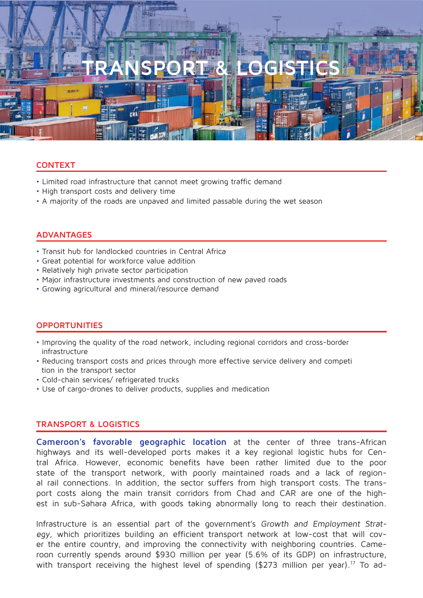# **TRANSPORT & LOGISTICS**

#### **CONTEXT**

- Limited road infrastructure that cannot meet growing traffic demand
- High transport costs and delivery time
- A majority of the roads are unpaved and limited passable during the wet season

#### **ADVANTAGES**

- Transit hub for landlocked countries in Central Africa
- Great potential for workforce value addition
- Relatively high private sector participation
- Major infrastructure investments and construction of new paved roads
- Growing agricultural and mineral/resource demand

#### **OPPORTUNITIES**

- Improving the quality of the road network, including regional corridors and cross-border infrastructure
- Reducing transport costs and prices through more effective service delivery and competi tion in the transport sector
- Cold-chain services/ refrigerated trucks
- Use of cargo-drones to deliver products, supplies and medication

#### **TRANSPORT & LOGISTICS**

**Cameroon's favorable geographic location** at the center of three trans-African highways and its well-developed ports makes it a key regional logistic hubs for Central Africa. However, economic benefits have been rather limited due to the poor state of the transport network, with poorly maintained roads and a lack of regional rail connections. In addition, the sector suffers from high transport costs. The transport costs along the main transit corridors from Chad and CAR are one of the highest in sub-Sahara Africa, with goods taking abnormally long to reach their destination.

Infrastructure is an essential part of the government's Growth and Employment Strategy, which prioritizes building an efficient transport network at low-cost that will cover the entire country, and improving the connectivity with neighboring countries. Cameroon currently spends around \$930 million per year (5.6% of its GDP) on infrastructure, with transport receiving the highest level of spending (\$273 million per year).<sup>17</sup> To ad-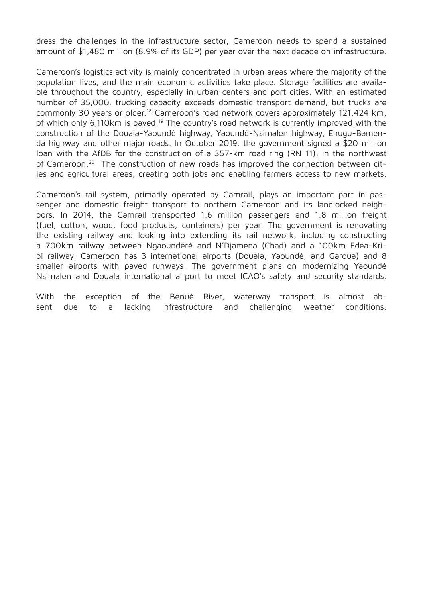dress the challenges in the infrastructure sector, Cameroon needs to spend a sustained amount of \$1,480 million (8.9% of its GDP) per year over the next decade on infrastructure.

Cameroon's logistics activity is mainly concentrated in urban areas where the majority of the population lives, and the main economic activities take place. Storage facilities are available throughout the country, especially in urban centers and port cities. With an estimated number of 35,000, trucking capacity exceeds domestic transport demand, but trucks are commonly 30 years or older.<sup>18</sup> Cameroon's road network covers approximately 121,424 km, of which only 6,110km is paved.<sup>19</sup> The country's road network is currently improved with the construction of the Douala-Yaoundé highway, Yaoundé-Nsimalen highway, Enugu-Bamenda highway and other major roads. In October 2019, the government signed a \$20 million loan with the AfDB for the construction of a 357-km road ring (RN 11), in the northwest of Cameroon.20 The construction of new roads has improved the connection between cities and agricultural areas, creating both jobs and enabling farmers access to new markets.

Cameroon's rail system, primarily operated by Camrail, plays an important part in passenger and domestic freight transport to northern Cameroon and its landlocked neighbors. In 2014, the Camrail transported 1.6 million passengers and 1.8 million freight (fuel, cotton, wood, food products, containers) per year. The government is renovating the existing railway and looking into extending its rail network, including constructing a 700km railway between Ngaoundéré and N'Djamena (Chad) and a 100km Edea-Kribi railway. Cameroon has 3 international airports (Douala, Yaoundé, and Garoua) and 8 smaller airports with paved runways. The government plans on modernizing Yaoundé Nsimalen and Douala international airport to meet ICAO's safety and security standards.

With the exception of the Benué River, waterway transport is almost absent due to a lacking infrastructure and challenging weather conditions.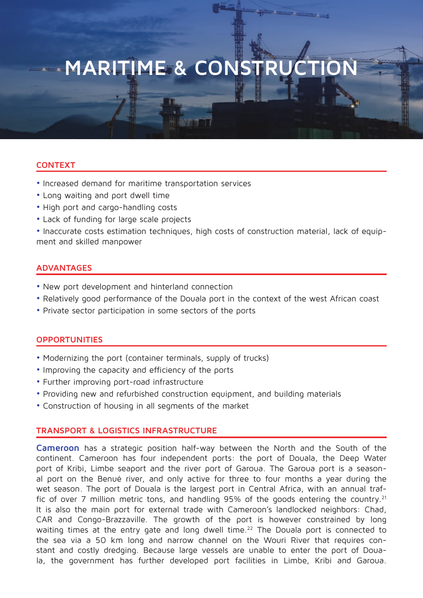### **MARITIME & CONSTRUC**

#### **CONTEXT**

- Increased demand for maritime transportation services
- Long waiting and port dwell time
- High port and cargo-handling costs
- Lack of funding for large scale projects

• Inaccurate costs estimation techniques, high costs of construction material, lack of equipment and skilled manpower

#### **ADVANTAGES**

- New port development and hinterland connection
- Relatively good performance of the Douala port in the context of the west African coast
- Private sector participation in some sectors of the ports

#### **OPPORTUNITIES**

- Modernizing the port (container terminals, supply of trucks)
- Improving the capacity and efficiency of the ports
- Further improving port-road infrastructure
- Providing new and refurbished construction equipment, and building materials
- Construction of housing in all segments of the market

#### **TRANSPORT & LOGISTICS INFRASTRUCTURE**

**Cameroon** has a strategic position half-way between the North and the South of the continent. Cameroon has four independent ports: the port of Douala, the Deep Water port of Kribi, Limbe seaport and the river port of Garoua. The Garoua port is a seasonal port on the Benué river, and only active for three to four months a year during the wet season. The port of Douala is the largest port in Central Africa, with an annual traffic of over 7 million metric tons, and handling 95% of the goods entering the country.<sup>21</sup> It is also the main port for external trade with Cameroon's landlocked neighbors: Chad, CAR and Congo-Brazzaville. The growth of the port is however constrained by long waiting times at the entry gate and long dwell time.<sup>22</sup> The Douala port is connected to the sea via a 50 km long and narrow channel on the Wouri River that requires constant and costly dredging. Because large vessels are unable to enter the port of Douala, the government has further developed port facilities in Limbe, Kribi and Garoua.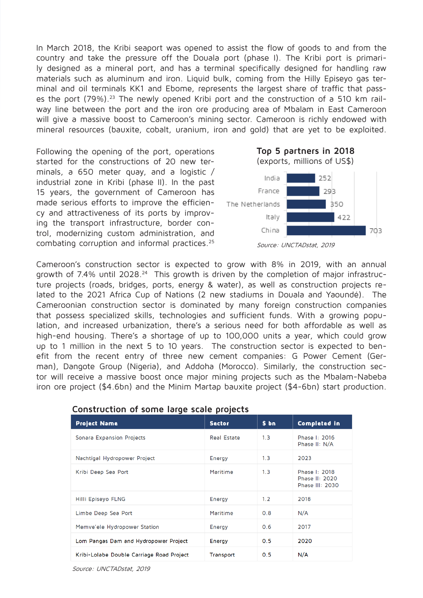In March 2018, the Kribi seaport was opened to assist the flow of goods to and from the country and take the pressure off the Douala port (phase I). The Kribi port is primarily designed as a mineral port, and has a terminal specifically designed for handling raw materials such as aluminum and iron. Liquid bulk, coming from the Hilly Episeyo gas terminal and oil terminals KK1 and Ebome, represents the largest share of traffic that passes the port (79%).<sup>23</sup> The newly opened Kribi port and the construction of a 510 km railway line between the port and the iron ore producing area of Mbalam in East Cameroon will give a massive boost to Cameroon's mining sector. Cameroon is richly endowed with mineral resources (bauxite, cobalt, uranium, iron and gold) that are yet to be exploited.

Following the opening of the port, operations started for the constructions of 20 new terminals, a 650 meter quay, and a logistic / industrial zone in Kribi (phase II). In the past 15 years, the government of Cameroon has made serious efforts to improve the efficiency and attractiveness of its ports by improving the transport infrastructure, border control, modernizing custom administration, and combating corruption and informal practices.25



Cameroon's construction sector is expected to grow with 8% in 2019, with an annual growth of 7.4% until 2028.<sup>24</sup> This growth is driven by the completion of major infrastructure projects (roads, bridges, ports, energy & water), as well as construction projects related to the 2021 Africa Cup of Nations (2 new stadiums in Douala and Yaoundé). The Cameroonian construction sector is dominated by many foreign construction companies that possess specialized skills, technologies and sufficient funds. With a growing population, and increased urbanization, there's a serious need for both affordable as well as high-end housing. There's a shortage of up to 100,000 units a year, which could grow up to 1 million in the next 5 to 10 years. The construction sector is expected to benefit from the recent entry of three new cement companies: G Power Cement (German), Dangote Group (Nigeria), and Addoha (Morocco). Similarly, the construction sector will receive a massive boost once major mining projects such as the Mbalam-Nabeba iron ore project (\$4.6bn) and the Minim Martap bauxite project (\$4-6bn) start production.

| <b>Project Name</b>                       | <b>Sector</b> | \$ bn | <b>Completed in</b>                                |
|-------------------------------------------|---------------|-------|----------------------------------------------------|
| Sonara Expansion Projects                 | Real Estate   | 1.3   | Phase I: 2016<br>Phase II: N/A                     |
| Nachtigal Hydropower Project              | Energy        | 1.3   | 2023                                               |
| Kribi Deep Sea Port                       | Maritime      | 1.3   | Phase I: 2018<br>Phase II: 2020<br>Phase III: 2030 |
| Hilli Episeyo FLNG                        | Energy        | 1.2   | 2018                                               |
| Limbe Deep Sea Port                       | Maritime      | 0.8   | N/A                                                |
| Memve'ele Hydropower Station              | Energy        | 0.6   | 2017                                               |
| Lom Pangas Dam and Hydropower Project     | Energy        | 0.5   | 2020                                               |
| Kribi-Lolabe Double Carriage Road Project | Transport     | 0.5   | N/A                                                |

#### **Construction of some large scale projects**

Source: UNCTADstat, 2019